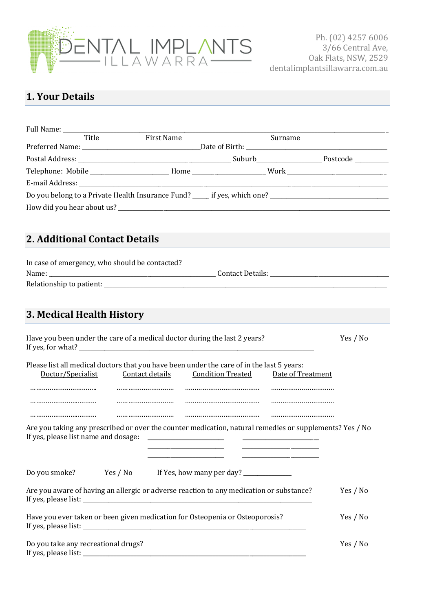

## **1. Your Details**

| Full Name: ______                                           |                                                                                                                                                         |         |          |
|-------------------------------------------------------------|---------------------------------------------------------------------------------------------------------------------------------------------------------|---------|----------|
| Title                                                       | First Name                                                                                                                                              | Surname |          |
|                                                             |                                                                                                                                                         |         |          |
|                                                             | Telephone: Mobile _________________________Home _______________________Work __________________________________                                          |         |          |
|                                                             |                                                                                                                                                         |         |          |
|                                                             |                                                                                                                                                         |         |          |
|                                                             |                                                                                                                                                         |         |          |
| <b>2. Additional Contact Details</b>                        |                                                                                                                                                         |         |          |
|                                                             | In case of emergency, who should be contacted?                                                                                                          |         |          |
|                                                             |                                                                                                                                                         |         |          |
|                                                             |                                                                                                                                                         |         |          |
| 3. Medical Health History                                   |                                                                                                                                                         |         |          |
|                                                             | Have you been under the care of a medical doctor during the last 2 years?                                                                               |         | Yes / No |
| Doctor/Specialist                                           | Please list all medical doctors that you have been under the care of in the last 5 years:<br><b>Contact details</b> Condition Treated Date of Treatment |         |          |
|                                                             |                                                                                                                                                         |         |          |
|                                                             | Are you taking any prescribed or over the counter medication, natural remedies or supplements? Yes / No                                                 |         |          |
| Do you smoke?                                               | Yes / No                                                                                                                                                |         |          |
|                                                             | Are you aware of having an allergic or adverse reaction to any medication or substance?                                                                 |         | Yes / No |
|                                                             | Have you ever taken or been given medication for Osteopenia or Osteoporosis?                                                                            |         | Yes / No |
| Do you take any recreational drugs?<br>If yes, please list: |                                                                                                                                                         |         | Yes / No |